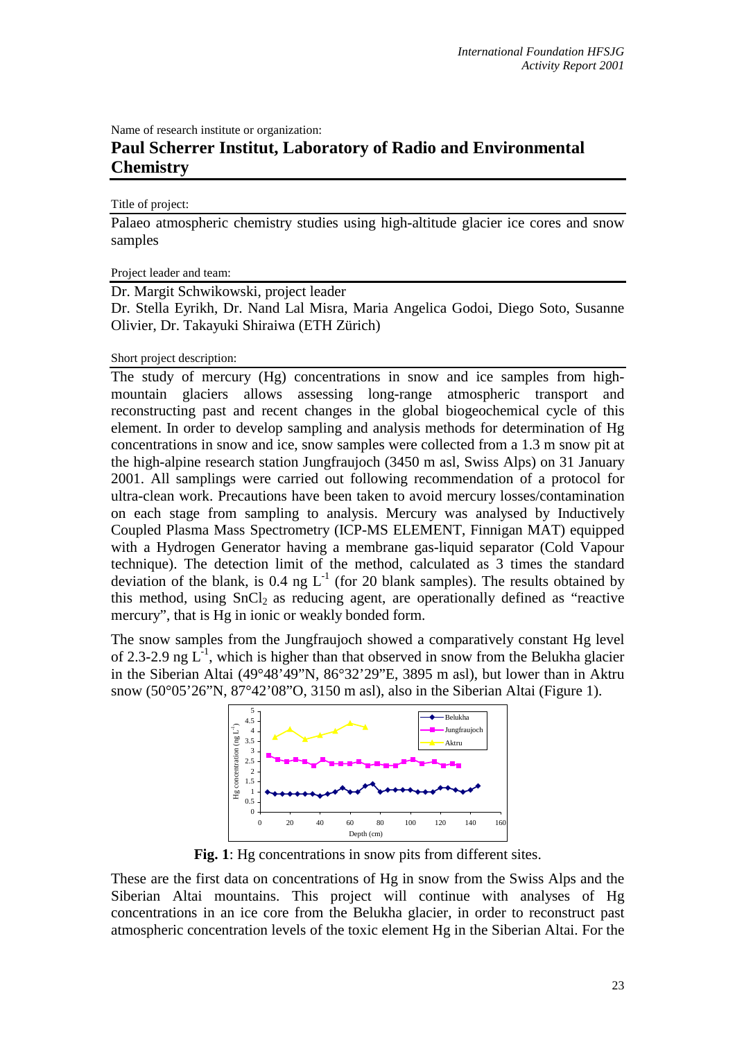Name of research institute or organization:

## **Paul Scherrer Institut, Laboratory of Radio and Environmental Chemistry**

## Title of project:

Palaeo atmospheric chemistry studies using high-altitude glacier ice cores and snow samples

Project leader and team:

Dr. Margit Schwikowski, project leader

Dr. Stella Eyrikh, Dr. Nand Lal Misra, Maria Angelica Godoi, Diego Soto, Susanne Olivier, Dr. Takayuki Shiraiwa (ETH Zürich)

Short project description:

The study of mercury (Hg) concentrations in snow and ice samples from highmountain glaciers allows assessing long-range atmospheric transport and reconstructing past and recent changes in the global biogeochemical cycle of this element. In order to develop sampling and analysis methods for determination of Hg concentrations in snow and ice, snow samples were collected from a 1.3 m snow pit at the high-alpine research station Jungfraujoch (3450 m asl, Swiss Alps) on 31 January 2001. All samplings were carried out following recommendation of a protocol for ultra-clean work. Precautions have been taken to avoid mercury losses/contamination on each stage from sampling to analysis. Mercury was analysed by Inductively Coupled Plasma Mass Spectrometry (ICP-MS ELEMENT, Finnigan MAT) equipped with a Hydrogen Generator having a membrane gas-liquid separator (Cold Vapour technique). The detection limit of the method, calculated as 3 times the standard deviation of the blank, is 0.4 ng  $L^{-1}$  (for 20 blank samples). The results obtained by this method, using  $SnCl<sub>2</sub>$  as reducing agent, are operationally defined as "reactive mercury", that is Hg in ionic or weakly bonded form.

The snow samples from the Jungfraujoch showed a comparatively constant Hg level of 2.3-2.9 ng  $L^{-1}$ , which is higher than that observed in snow from the Belukha glacier in the Siberian Altai (49°48'49"N, 86°32'29"E, 3895 m asl), but lower than in Aktru snow (50°05'26"N, 87°42'08"O, 3150 m asl), also in the Siberian Altai (Figure 1).



**Fig. 1**: Hg concentrations in snow pits from different sites.

These are the first data on concentrations of Hg in snow from the Swiss Alps and the Siberian Altai mountains. This project will continue with analyses of Hg concentrations in an ice core from the Belukha glacier, in order to reconstruct past atmospheric concentration levels of the toxic element Hg in the Siberian Altai. For the